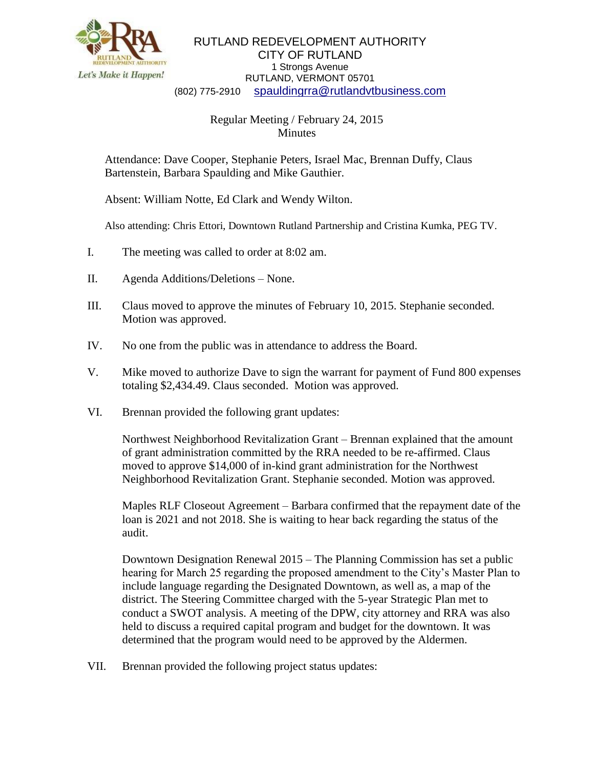

## RUTLAND REDEVELOPMENT AUTHORITY CITY OF RUTLAND 1 Strongs Avenue RUTLAND, VERMONT 05701 (802) 775-2910 [spauldingrra@rutlandvtbusiness.com](mailto:allenrra@rutlandvtbusiness.com)

## Regular Meeting / February 24, 2015 Minutes

Attendance: Dave Cooper, Stephanie Peters, Israel Mac, Brennan Duffy, Claus Bartenstein, Barbara Spaulding and Mike Gauthier.

Absent: William Notte, Ed Clark and Wendy Wilton.

Also attending: Chris Ettori, Downtown Rutland Partnership and Cristina Kumka, PEG TV.

- I. The meeting was called to order at 8:02 am.
- II. Agenda Additions/Deletions None.
- III. Claus moved to approve the minutes of February 10, 2015. Stephanie seconded. Motion was approved.
- IV. No one from the public was in attendance to address the Board.
- V. Mike moved to authorize Dave to sign the warrant for payment of Fund 800 expenses totaling \$2,434.49. Claus seconded. Motion was approved.
- VI. Brennan provided the following grant updates:

Northwest Neighborhood Revitalization Grant – Brennan explained that the amount of grant administration committed by the RRA needed to be re-affirmed. Claus moved to approve \$14,000 of in-kind grant administration for the Northwest Neighborhood Revitalization Grant. Stephanie seconded. Motion was approved.

Maples RLF Closeout Agreement – Barbara confirmed that the repayment date of the loan is 2021 and not 2018. She is waiting to hear back regarding the status of the audit.

Downtown Designation Renewal 2015 – The Planning Commission has set a public hearing for March 25 regarding the proposed amendment to the City's Master Plan to include language regarding the Designated Downtown, as well as, a map of the district. The Steering Committee charged with the 5-year Strategic Plan met to conduct a SWOT analysis. A meeting of the DPW, city attorney and RRA was also held to discuss a required capital program and budget for the downtown. It was determined that the program would need to be approved by the Aldermen.

VII. Brennan provided the following project status updates: